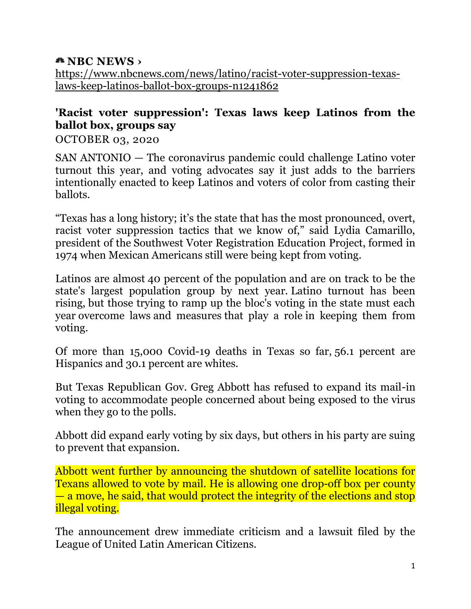## **[NBC NEWS ›](https://www.nbcnews.com/news/latino/racist-voter-suppression-texas-laws-keep-latinos-ballot-box-groups-n1241862)**

[https://www.nbcnews.com/news/latino/racist-voter-suppression-texas](https://www.nbcnews.com/news/latino/racist-voter-suppression-texas-laws-keep-latinos-ballot-box-groups-n1241862)[laws-keep-latinos-ballot-box-groups-n1241862](https://www.nbcnews.com/news/latino/racist-voter-suppression-texas-laws-keep-latinos-ballot-box-groups-n1241862)

## **'Racist voter suppression': Texas laws keep Latinos from the ballot box, groups say**

OCTOBER 03, 2020

SAN ANTONIO — The coronavirus pandemic could challenge Latino voter turnout this year, and voting advocates say it just adds to the barriers intentionally enacted to keep Latinos and voters of color from casting their ballots.

"Texas has a long history; it's the state that has the most pronounced, overt, racist voter suppression tactics that we know of," said Lydia Camarillo, president of the [Southwest Voter Registration Education Project,](https://www.svrep.org/) formed in 1974 when Mexican Americans still were being [kept from voting.](https://www.nbcnews.com/news/latino/latinos-1965-voting-rights-act-impact-came-decade-later-n404936)

Latinos are almost [40 percent of the population](https://www.census.gov/quickfacts/fact/table/TX/POP010210) and are on track to be the state's largest population group by next year. [Latino turnout has been](https://www.nbcnews.com/news/latino/youth-latino-mobilization-paid-midterms-now-groups-gear-2020-n934516)  [rising,](https://www.nbcnews.com/news/latino/youth-latino-mobilization-paid-midterms-now-groups-gear-2020-n934516) but those trying to ramp up the bloc's voting in the state must each year [overcome laws](https://www.nbcnews.com/politics/politics-news/texas-revised-voter-id-law-still-discriminatory-federal-judge-rules-n795396) and measures [that play a role](https://www.nbcnews.com/news/latino/texas-officials-sued-latino-group-over-suggestion-non-citizens-may-n964136) in keeping them from voting.

Of more than 15,000 Covid-19 deaths in Texas so far, [56.1 percent are](https://txdshs.maps.arcgis.com/apps/opsdashboard/index.html#/ed483ecd702b4298ab01e8b9cafc8b83)  [Hispanics](https://txdshs.maps.arcgis.com/apps/opsdashboard/index.html#/ed483ecd702b4298ab01e8b9cafc8b83) and 30.1 percent are whites.

But Texas Republican Gov. Greg Abbott has refused to expand its mail-in voting to accommodate people concerned about being exposed to the virus when they go to the polls.

Abbott did expand early voting by six days, but others in his party are suing to prevent that expansion.

Abbott went further by announcing the shutdown of satellite locations for Texans allowed to vote by mail. He is allowing one drop-off box per county — a move, he said, that would protect the integrity of the elections and stop illegal voting.

The announcement drew immediate criticism and a lawsuit filed by the League of United Latin American Citizens.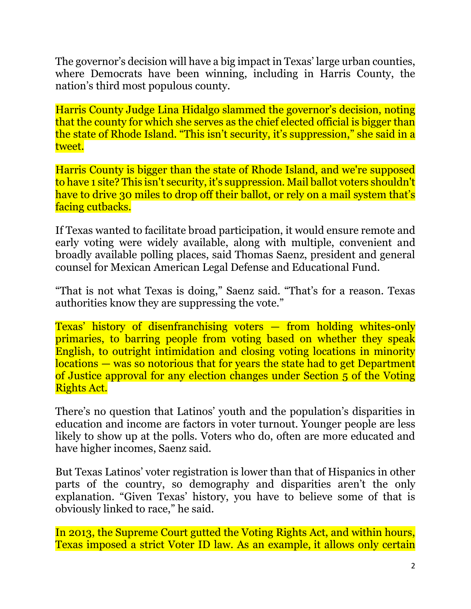The governor's decision will have a big impact in Texas' large urban counties, where Democrats have been winning, including in Harris County, the nation's third most populous county.

Harris County Judge Lina Hidalgo slammed the governor's decision, noting that the county for which she serves as the chief elected official is bigger than the state of Rhode Island. "This isn't security, it's suppression," she said in a tweet.

Harris County is bigger than the state of Rhode Island, and we're supposed to have 1 site? This isn't security, it's suppression. Mail ballot voters shouldn't have to drive 30 miles to drop off their ballot, or rely on a mail system that's facing cutbacks.

If Texas wanted to facilitate broad participation, it would ensure remote and early voting were widely available, along with multiple, convenient and broadly available polling places, said Thomas Saenz, president and general counsel for Mexican American Legal Defense and Educational Fund.

"That is not what Texas is doing," Saenz said. "That's for a reason. Texas authorities know they are suppressing the vote."

Texas' history of disenfranchising voters — from holding whites-only primaries, to barring people from voting based on whether they speak English, to outright intimidation and closing voting locations in minority locations — was so notorious that for years the state had to get Department of Justice approval for any election changes under Section 5 of the Voting Rights Act.

There's no question that Latinos' youth and the population's disparities in education and income are factors in voter turnout. Younger people are less likely to show up at the polls. Voters who do, often are more educated and have higher incomes, Saenz said.

But Texas Latinos' voter registration is lower than that of Hispanics in other parts of the country, so demography and disparities aren't the only explanation. "Given Texas' history, you have to believe some of that is obviously linked to race," he said.

In 2013, the Supreme Court gutted the Voting Rights Act, and within hours, Texas imposed a strict Voter ID law. As an example, [it allows only certain](https://www.sos.state.tx.us/elections/forms/id/poster-11x17-aw-voter.pdf)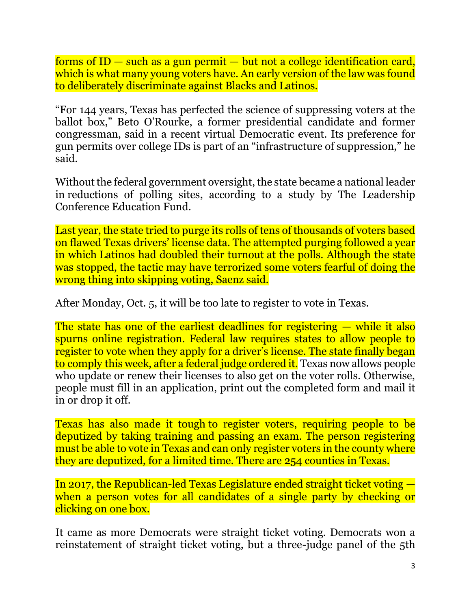forms of  $ID$  — such as a gun permit — but not a college identification card, which is what many young voters have. An early version of the law was found to deliberately discriminate against Blacks and Latinos.

"For 144 years, Texas has perfected the science of suppressing voters at the ballot box," Beto O'Rourke, a former presidential candidate and former congressman, said in a recent virtual Democratic event. Its preference for gun permits over college IDs is part of an "infrastructure of suppression," he said.

Without the federal government oversight, the state became a national leader in [reductions of polling sites,](http://civilrightsdocs.info/pdf/reports/2016/poll-closure-report-web.pdf) according to a study by The Leadership Conference Education Fund.

Last year, the state tried to purge its rolls of tens of thousands of voters based on flawed Texas drivers' license data. The attempted purging followed a year in which [Latinos had doubled their turnout](https://www.nbcnews.com/news/latino/youth-latino-mobilization-paid-midterms-now-groups-gear-2020-n934516) at the polls. Although the state was stopped, the tactic may have terrorized some voters fearful of doing the wrong thing into skipping voting, Saenz said.

After Monday, Oct. 5, it will be too late to register to vote in Texas.

The state has one of the earliest deadlines for registering — while it also spurns online registration. Federal law requires states to allow people to register to vote when they apply for a driver's license. The state finally began to [comply](https://www.texastribune.org/2020/09/23/register-vote-online-texas/) [this week,](https://www.texastribune.org/2020/09/23/register-vote-online-texas/) after a federal judge ordered it. Texas now allows people who update or renew their licenses to also get on the voter rolls. Otherwise, people must fill in an application, print out the completed form and mail it in or drop it off.

Texas has also made it tough [to register voters,](https://www.thenation.com/article/archive/texass-voter-registration-laws-are-straight-out-of-the-jim-crow-playbook/) requiring people to be deputized by taking training and passing an exam. The person registering must be able to vote in Texas and can only register voters in the county where they are deputized, [for a limited time.](https://www.sos.state.tx.us/elections/pamphlets/deputy.shtml) There are 254 counties in Texas.

In 2017, the Republican-led Texas Legislature ended straight ticket voting when a person votes for all candidates of a single party by checking or clicking on one box.

It came as more Democrats were straight ticket voting. Democrats won a reinstatement of straight ticket voting, but a three-judge panel of the 5th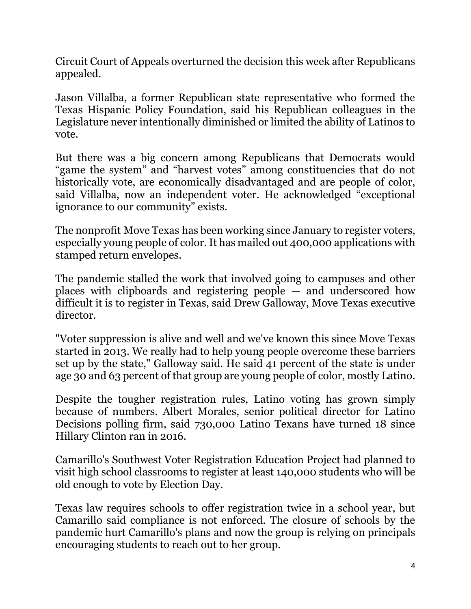Circuit Court of Appeals overturned the decision this week after Republicans appealed.

Jason Villalba, a former Republican state representative who formed the Texas Hispanic Policy Foundation, said his Republican colleagues in the Legislature never intentionally diminished or limited the ability of Latinos to vote.

But there was a big concern among Republicans that Democrats would "game the system" and "harvest votes" among constituencies that do not historically vote, are economically disadvantaged and are people of color, said Villalba, now an independent voter. He acknowledged "exceptional ignorance to our community" exists.

The nonprofit [Move Texas](https://movetexas.org/) has been working since January to register voters, especially young people of color. It has mailed out 400,000 applications with stamped return envelopes.

The pandemic stalled the work that involved going to campuses and other places with clipboards and registering people — and underscored how difficult it is to register in Texas, said Drew Galloway, Move Texas executive director.

"Voter suppression is alive and well and we've known this since Move Texas started in 2013. We really had to help young people overcome these barriers set up by the state," Galloway said. He said 41 percent of the state is under age 30 and 63 percent of that group are young people of color, mostly Latino.

Despite the tougher registration rules, Latino voting has grown simply because of numbers. Albert Morales, senior political director for Latino Decisions polling firm, said 730,000 Latino Texans have turned 18 since Hillary Clinton ran in 2016.

Camarillo's Southwest Voter Registration Education Project had planned to visit high school classrooms to register at least 140,000 students who will be old enough to vote by Election Day.

Texas law requires schools to offer registration twice in a school year, but Camarillo said compliance is not enforced. The closure of schools by the pandemic hurt Camarillo's plans and now the group is relying on principals encouraging students to reach out to her group.